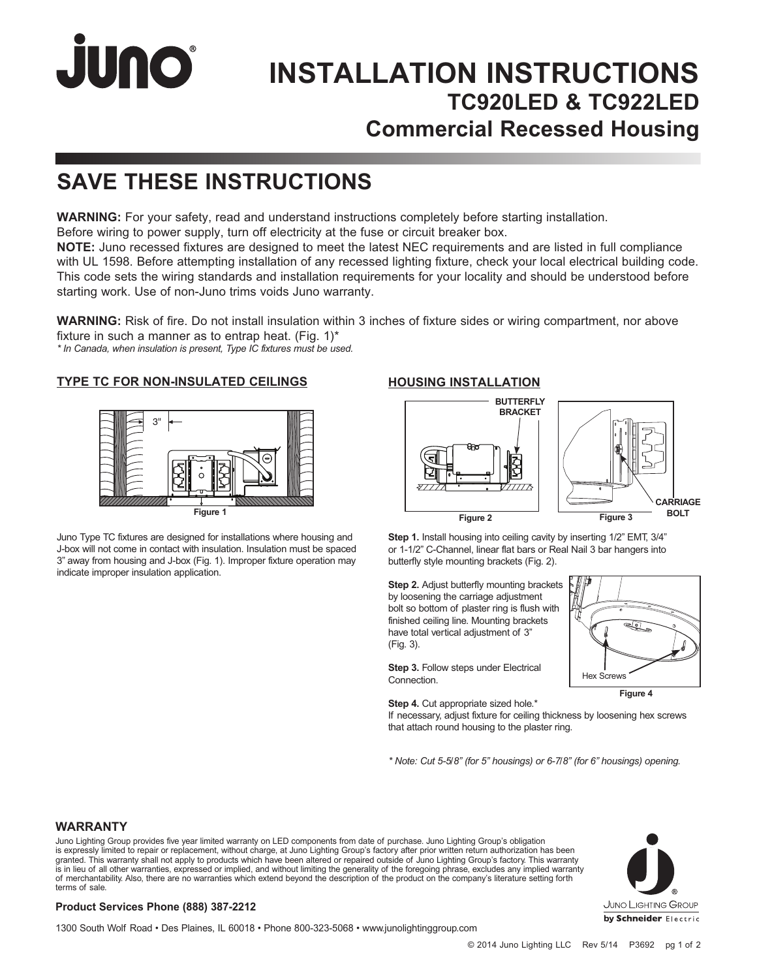# JUNO®

## **INSTALLATION INSTRUCTIONS TC920LED & TC922LED Commercial Recessed Housing**

## **SAVE THESE INSTRUCTIONS**

**WARNING:** For your safety, read and understand instructions completely before starting installation. Before wiring to power supply, turn off electricity at the fuse or circuit breaker box.

**NOTE:** Juno recessed fixtures are designed to meet the latest NEC requirements and are listed in full compliance with UL 1598. Before attempting installation of any recessed lighting fixture, check your local electrical building code. This code sets the wiring standards and installation requirements for your locality and should be understood before starting work. Use of non-Juno trims voids Juno warranty.

**WARNING:** Risk of fire. Do not install insulation within 3 inches of fixture sides or wiring compartment, nor above fixture in such a manner as to entrap heat. (Fig.  $1$ )\* *\* In Canada, when insulation is present, Type IC fixtures must be used.*

### **TYPE TC FOR NON-INSULATED CEILINGS**



Juno Type TC fixtures are designed for installations where housing and J-box will not come in contact with insulation. Insulation must be spaced 3" away from housing and J-box (Fig. 1). Improper fixture operation may indicate improper insulation application.

### **HOUSING INSTALLATION**



**Step 1.** Install housing into ceiling cavity by inserting 1/2" EMT, 3/4" or 1-1/2" C-Channel, linear flat bars or Real Nail 3 bar hangers into butterfly style mounting brackets (Fig. 2).

**Step 2.** Adjust butterfly mounting brackets by loosening the carriage adjustment bolt so bottom of plaster ring is flush with finished ceiling line. Mounting brackets have total vertical adjustment of 3" (Fig. 3).

**Step 3.** Follow steps under Electrical Connection.



**Figure 4**

**Step 4.** Cut appropriate sized hole.\*

If necessary, adjust fixture for ceiling thickness by loosening hex screws that attach round housing to the plaster ring.

*\* Note: Cut 5-5/8" (for 5" housings) or 6-7/8" (for 6" housings) opening.* 

### **WARRANTY**

Juno Lighting Group provides five year limited warranty on LED components from date of purchase. Juno Lighting Group's obligation is expressly limited to repair or replacement, without charge, at Juno Lighting Group's factory after prior written return authorization has been granted. This warranty shall not apply to products which have been altered or repaired outside of Juno Lighting Group's factory. This warranty is in lieu of all other warranties, expressed or implied, and without limiting the generality of the foregoing phrase, excludes any implied warranty<br>of merchantability. Also, there are no warranties which extend beyond the terms of sale.

### **Product Services Phone (888) 387-2212**

1300 South Wolf Road • Des Plaines, IL 60018 • Phone 800-323-5068 • www.junolightinggroup.com

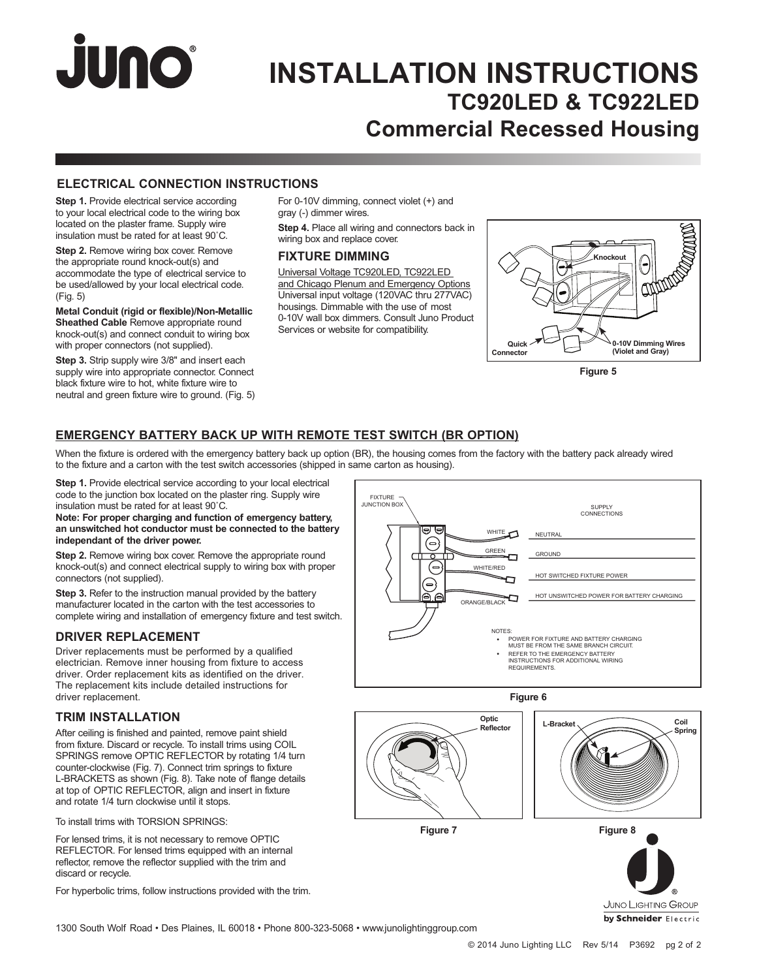# JUNO®

### **INSTALLATION INSTRUCTIONS TC920LED & TC922LED Commercial Recessed Housing**

### **ELECTRICAL CONNECTION INSTRUCTIONS**

**Step 1.** Provide electrical service according to your local electrical code to the wiring box located on the plaster frame. Supply wire insulation must be rated for at least 90˚C.

**Step 2.** Remove wiring box cover. Remove the appropriate round knock-out(s) and accommodate the type of electrical service to be used/allowed by your local electrical code. (Fig. 5)

**Metal Conduit (rigid or flexible)/Non-Metallic Sheathed Cable** Remove appropriate round knock-out(s) and connect conduit to wiring box with proper connectors (not supplied).

**Step 3.** Strip supply wire 3/8" and insert each supply wire into appropriate connector. Connect black fixture wire to hot, white fixture wire to neutral and green fixture wire to ground. (Fig. 5) For 0-10V dimming, connect violet (+) and gray (-) dimmer wires.

**Step 4.** Place all wiring and connectors back in wiring box and replace cover.

### **FIXTURE DIMMING**

Universal Voltage TC920LED, TC922LED and Chicago Plenum and Emergency Options Universal input voltage (120VAC thru 277VAC) housings. Dimmable with the use of most 0-10V wall box dimmers. Consult Juno Product Services or website for compatibility.



**Figure 5**

### **EMERGENCY BATTERY BACK UP WITH REMOTE TEST SWITCH (BR OPTION)**

When the fixture is ordered with the emergency battery back up option (BR), the housing comes from the factory with the battery pack already wired to the fixture and a carton with the test switch accessories (shipped in same carton as housing).

**Step 1.** Provide electrical service according to your local electrical code to the junction box located on the plaster ring. Supply wire insulation must be rated for at least 90˚C.

**Note: For proper charging and function of emergency battery, an unswitched hot conductor must be connected to the battery independant of the driver power.**

**Step 2.** Remove wiring box cover. Remove the appropriate round knock-out(s) and connect electrical supply to wiring box with proper connectors (not supplied).

**Step 3.** Refer to the instruction manual provided by the battery manufacturer located in the carton with the test accessories to complete wiring and installation of emergency fixture and test switch.

### **DRIVER REPLACEMENT**

Driver replacements must be performed by a qualified electrician. Remove inner housing from fixture to access driver. Order replacement kits as identified on the driver. The replacement kits include detailed instructions for driver replacement.

### **TRIM INSTALLATION**

After ceiling is finished and painted, remove paint shield from fixture. Discard or recycle. To install trims using COIL SPRINGS remove OPTIC REFLECTOR by rotating 1/4 turn counter-clockwise (Fig. 7). Connect trim springs to fixture L-BRACKETS as shown (Fig. 8). Take note of flange details at top of OPTIC REFLECTOR, align and insert in fixture and rotate 1/4 turn clockwise until it stops.

To install trims with TORSION SPRINGS:

For lensed trims, it is not necessary to remove OPTIC REFLECTOR. For lensed trims equipped with an internal reflector, remove the reflector supplied with the trim and discard or recycle.

For hyperbolic trims, follow instructions provided with the trim.





**Figure 6**

**Optic Reflector** 



**Figure 7 Figure 8**

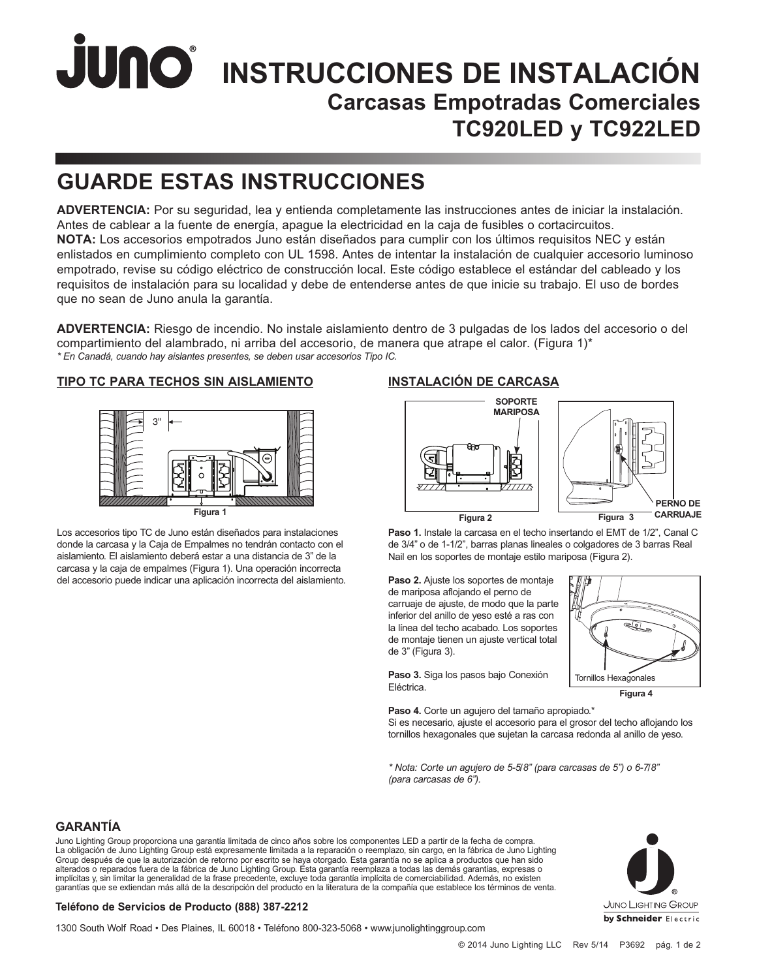# **JUNO**<sup>®</sup> INSTRUCCIONES DE INSTALACIÓN **Carcasas Empotradas Comerciales TC920LED y TC922LED**

## **GUARDE ESTAS INSTRUCCIONES**

**ADVERTENCIA:** Por su seguridad, lea y entienda completamente las instrucciones antes de iniciar la instalación. Antes de cablear a la fuente de energía, apague la electricidad en la caja de fusibles o cortacircuitos. **NOTA:** Los accesorios empotrados Juno están diseñados para cumplir con los últimos requisitos NEC y están enlistados en cumplimiento completo con UL 1598. Antes de intentar la instalación de cualquier accesorio luminoso empotrado, revise su código eléctrico de construcción local. Este código establece el estándar del cableado y los requisitos de instalación para su localidad y debe de entenderse antes de que inicie su trabajo. El uso de bordes que no sean de Juno anula la garantía.

**ADVERTENCIA:** Riesgo de incendio. No instale aislamiento dentro de 3 pulgadas de los lados del accesorio o del compartimiento del alambrado, ni arriba del accesorio, de manera que atrape el calor. (Figura 1)\* *\* En Canadá, cuando hay aislantes presentes, se deben usar accesorios Tipo IC.*

### **TIPO TC PARA TECHOS SIN AISLAMIENTO**



Los accesorios tipo TC de Juno están diseñados para instalaciones donde la carcasa y la Caja de Empalmes no tendrán contacto con el aislamiento. El aislamiento deberá estar a una distancia de 3" de la carcasa y la caja de empalmes (Figura 1). Una operación incorrecta del accesorio puede indicar una aplicación incorrecta del aislamiento.

### **INSTALACIÓN DE CARCASA**



**Paso 1.** Instale la carcasa en el techo insertando el EMT de 1/2", Canal C de 3/4" o de 1-1/2", barras planas lineales o colgadores de 3 barras Real Nail en los soportes de montaje estilo mariposa (Figura 2).

**Paso 2.** Ajuste los soportes de montaje de mariposa aflojando el perno de carruaje de ajuste, de modo que la parte inferior del anillo de yeso esté a ras con la línea del techo acabado. Los soportes de montaje tienen un ajuste vertical total de 3" (Figura 3).

**Paso 3.** Siga los pasos bajo Conexión Eléctrica.



**Paso 4.** Corte un agujero del tamaño apropiado.\* Si es necesario, ajuste el accesorio para el grosor del techo aflojando los tornillos hexagonales que sujetan la carcasa redonda al anillo de yeso.

*\* Nota: Corte un agujero de 5-5/8" (para carcasas de 5") o 6-7/8" (para carcasas de 6").*

### **GARANTÍA**

Juno Lighting Group proporciona una garantía limitada de cinco años sobre los componentes LED a partir de la fecha de compra. La obligación de Juno Lighting Group está expresamente limitada a la reparación o reemplazo, sin cargo, en la fábrica de Juno Lighting Group después de que la autorización de retorno por escrito se haya otorgado. Esta garantía no se aplica a productos que han sido alterados o reparados fuera de la fábrica de Juno Lighting Group. Esta garantía reemplaza a todas las demás garantías, expresas o implícitas y, sin limitar la generalidad de la frase precedente, excluye toda garantía implícita de comerciabilidad. Además, no existen garantías que se extiendan más allá de la descripción del producto en la literatura de la compañía que establece los términos de venta.



### **Teléfono de Servicios de Producto (888) 387-2212**

1300 South Wolf Road • Des Plaines, IL 60018 • Teléfono 800-323-5068 • www.junolightinggroup.com